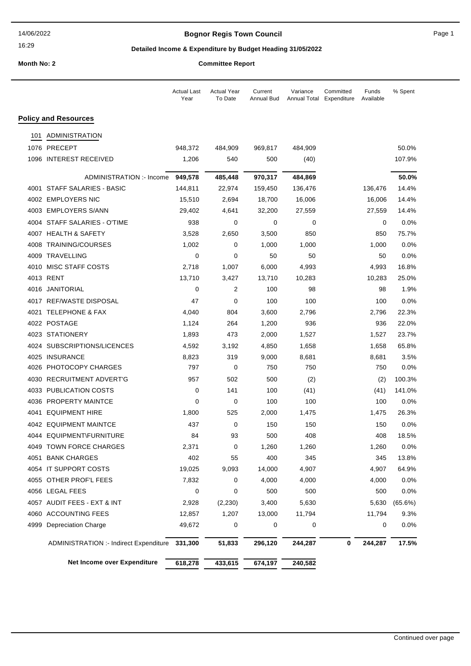## **Bognor Regis Town Council Connect Connect Page 1** Page 1

## **Detailed Income & Expenditure by Budget Heading 31/05/2022**

| Month No: 2 | <b>Committee Report</b> |
|-------------|-------------------------|

|  | ommittee Report |  |  |
|--|-----------------|--|--|
|  |                 |  |  |

|      |                                        | <b>Actual Last</b><br>Year | <b>Actual Year</b><br>To Date | Current<br>Annual Bud | Variance<br>Annual Total | Committed<br>Expenditure | Funds<br>Available | % Spent |
|------|----------------------------------------|----------------------------|-------------------------------|-----------------------|--------------------------|--------------------------|--------------------|---------|
|      | <b>Policy and Resources</b>            |                            |                               |                       |                          |                          |                    |         |
| 101  | ADMINISTRATION                         |                            |                               |                       |                          |                          |                    |         |
|      | 1076 PRECEPT                           | 948,372                    | 484,909                       | 969,817               | 484,909                  |                          |                    | 50.0%   |
|      | 1096 INTEREST RECEIVED                 | 1,206                      | 540                           | 500                   | (40)                     |                          |                    | 107.9%  |
|      | ADMINISTRATION :- Income               | 949,578                    | 485,448                       | 970,317               | 484,869                  |                          |                    | 50.0%   |
|      | 4001 STAFF SALARIES - BASIC            | 144,811                    | 22,974                        | 159,450               | 136,476                  |                          | 136,476            | 14.4%   |
|      | 4002 EMPLOYERS NIC                     | 15,510                     | 2,694                         | 18,700                | 16,006                   |                          | 16,006             | 14.4%   |
|      | 4003 EMPLOYERS S/ANN                   | 29,402                     | 4,641                         | 32,200                | 27,559                   |                          | 27,559             | 14.4%   |
|      | 4004 STAFF SALARIES - O'TIME           | 938                        | 0                             | 0                     | 0                        |                          | 0                  | 0.0%    |
|      | 4007 HEALTH & SAFETY                   | 3,528                      | 2,650                         | 3,500                 | 850                      |                          | 850                | 75.7%   |
|      | 4008 TRAINING/COURSES                  | 1,002                      | 0                             | 1,000                 | 1,000                    |                          | 1,000              | 0.0%    |
|      | 4009 TRAVELLING                        | $\mathbf 0$                | 0                             | 50                    | 50                       |                          | 50                 | 0.0%    |
|      | 4010 MISC STAFF COSTS                  | 2,718                      | 1,007                         | 6,000                 | 4,993                    |                          | 4,993              | 16.8%   |
|      | 4013 RENT                              | 13,710                     | 3,427                         | 13,710                | 10,283                   |                          | 10,283             | 25.0%   |
|      | 4016 JANITORIAL                        | 0                          | 2                             | 100                   | 98                       |                          | 98                 | 1.9%    |
|      | 4017 REF/WASTE DISPOSAL                | 47                         | 0                             | 100                   | 100                      |                          | 100                | 0.0%    |
|      | 4021 TELEPHONE & FAX                   | 4,040                      | 804                           | 3,600                 | 2,796                    |                          | 2,796              | 22.3%   |
|      | 4022 POSTAGE                           | 1,124                      | 264                           | 1,200                 | 936                      |                          | 936                | 22.0%   |
|      | 4023 STATIONERY                        | 1,893                      | 473                           | 2,000                 | 1,527                    |                          | 1,527              | 23.7%   |
|      | 4024 SUBSCRIPTIONS/LICENCES            | 4,592                      | 3,192                         | 4,850                 | 1,658                    |                          | 1,658              | 65.8%   |
|      | 4025 INSURANCE                         | 8,823                      | 319                           | 9,000                 | 8,681                    |                          | 8,681              | 3.5%    |
| 4026 | PHOTOCOPY CHARGES                      | 797                        | 0                             | 750                   | 750                      |                          | 750                | 0.0%    |
| 4030 | <b>RECRUITMENT ADVERT'G</b>            | 957                        | 502                           | 500                   | (2)                      |                          | (2)                | 100.3%  |
|      | 4033 PUBLICATION COSTS                 | 0                          | 141                           | 100                   | (41)                     |                          | (41)               | 141.0%  |
|      | 4036 PROPERTY MAINTCE                  | 0                          | 0                             | 100                   | 100                      |                          | 100                | 0.0%    |
|      | 4041 EQUIPMENT HIRE                    | 1,800                      | 525                           | 2,000                 | 1,475                    |                          | 1,475              | 26.3%   |
|      | 4042 EQUIPMENT MAINTCE                 | 437                        | 0                             | 150                   | 150                      |                          | 150                | 0.0%    |
|      | 4044 EQUIPMENT\FURNITURE               | 84                         | 93                            | 500                   | 408                      |                          | 408                | 18.5%   |
|      | 4049 TOWN FORCE CHARGES                | 2,371                      | 0                             | 1,260                 | 1,260                    |                          | 1,260              | 0.0%    |
|      | 4051 BANK CHARGES                      | 402                        | 55                            | 400                   | 345                      |                          | 345                | 13.8%   |
|      | 4054 IT SUPPORT COSTS                  | 19,025                     | 9,093                         | 14,000                | 4,907                    |                          | 4,907              | 64.9%   |
|      | 4055 OTHER PROF'L FEES                 | 7,832                      | 0                             | 4,000                 | 4,000                    |                          | 4,000              | $0.0\%$ |
|      | 4056 LEGAL FEES                        | 0                          | 0                             | 500                   | 500                      |                          | 500                | 0.0%    |
|      | 4057 AUDIT FEES - EXT & INT            | 2,928                      | (2, 230)                      | 3,400                 | 5,630                    |                          | 5,630              | (65.6%) |
|      | 4060 ACCOUNTING FEES                   | 12,857                     | 1,207                         | 13,000                | 11,794                   |                          | 11,794             | 9.3%    |
|      | 4999 Depreciation Charge               | 49,672                     | 0                             | 0                     | 0                        |                          | 0                  | $0.0\%$ |
|      | ADMINISTRATION :- Indirect Expenditure | 331,300                    | 51,833                        | 296,120               | 244,287                  | 0                        | 244,287            | 17.5%   |
|      | Net Income over Expenditure            | 618,278                    | 433,615                       | 674,197               | 240,582                  |                          |                    |         |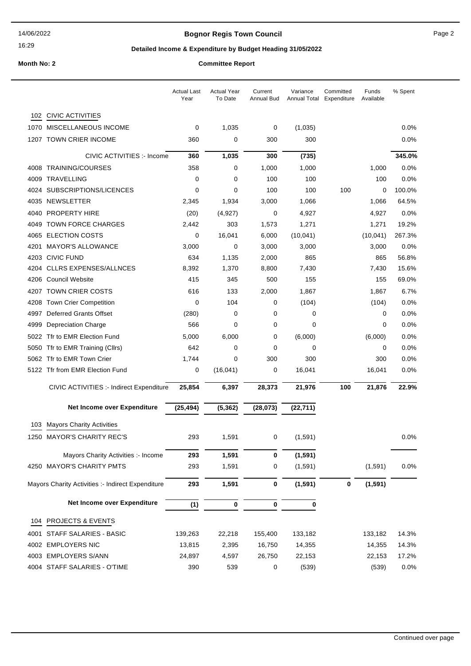## **Bognor Regis Town Council Connect Connect Page 2** Page 2

## **Detailed Income & Expenditure by Budget Heading 31/05/2022**

|      |                                                   | <b>Actual Last</b><br>Year | <b>Actual Year</b><br>To Date | Current<br>Annual Bud | Variance<br>Annual Total | Committed<br>Expenditure | Funds<br>Available | % Spent |
|------|---------------------------------------------------|----------------------------|-------------------------------|-----------------------|--------------------------|--------------------------|--------------------|---------|
| 102  | <b>CIVIC ACTIVITIES</b>                           |                            |                               |                       |                          |                          |                    |         |
| 1070 | MISCELLANEOUS INCOME                              | 0                          | 1,035                         | 0                     | (1,035)                  |                          |                    | $0.0\%$ |
| 1207 | <b>TOWN CRIER INCOME</b>                          | 360                        | 0                             | 300                   | 300                      |                          |                    | 0.0%    |
|      | CIVIC ACTIVITIES :- Income                        | 360                        | 1,035                         | 300                   | (735)                    |                          |                    | 345.0%  |
| 4008 | <b>TRAINING/COURSES</b>                           | 358                        | 0                             | 1,000                 | 1,000                    |                          | 1,000              | 0.0%    |
| 4009 | <b>TRAVELLING</b>                                 | $\mathbf 0$                | 0                             | 100                   | 100                      |                          | 100                | 0.0%    |
|      | 4024 SUBSCRIPTIONS/LICENCES                       | 0                          | 0                             | 100                   | 100                      | 100                      | 0                  | 100.0%  |
| 4035 | NEWSLETTER                                        | 2,345                      | 1,934                         | 3,000                 | 1,066                    |                          | 1,066              | 64.5%   |
| 4040 | <b>PROPERTY HIRE</b>                              | (20)                       | (4, 927)                      | 0                     | 4,927                    |                          | 4,927              | 0.0%    |
| 4049 | <b>TOWN FORCE CHARGES</b>                         | 2,442                      | 303                           | 1,573                 | 1,271                    |                          | 1,271              | 19.2%   |
| 4065 | <b>ELECTION COSTS</b>                             | 0                          | 16,041                        | 6,000                 | (10, 041)                |                          | (10, 041)          | 267.3%  |
| 4201 | <b>MAYOR'S ALLOWANCE</b>                          | 3,000                      | $\mathbf 0$                   | 3,000                 | 3,000                    |                          | 3,000              | 0.0%    |
| 4203 | <b>CIVIC FUND</b>                                 | 634                        | 1,135                         | 2,000                 | 865                      |                          | 865                | 56.8%   |
| 4204 | <b>CLLRS EXPENSES/ALLNCES</b>                     | 8,392                      | 1,370                         | 8,800                 | 7,430                    |                          | 7,430              | 15.6%   |
| 4206 | <b>Council Website</b>                            | 415                        | 345                           | 500                   | 155                      |                          | 155                | 69.0%   |
| 4207 | <b>TOWN CRIER COSTS</b>                           | 616                        | 133                           | 2,000                 | 1,867                    |                          | 1,867              | 6.7%    |
| 4208 | <b>Town Crier Competition</b>                     | $\mathbf 0$                | 104                           | 0                     | (104)                    |                          | (104)              | 0.0%    |
| 4997 | Deferred Grants Offset                            | (280)                      | 0                             | 0                     | 0                        |                          | 0                  | 0.0%    |
| 4999 | <b>Depreciation Charge</b>                        | 566                        | 0                             | 0                     | $\mathbf 0$              |                          | 0                  | 0.0%    |
| 5022 | Tfr to EMR Election Fund                          | 5,000                      | 6,000                         | 0                     | (6,000)                  |                          | (6,000)            | 0.0%    |
| 5050 | Tfr to EMR Training (Cllrs)                       | 642                        | 0                             | 0                     | 0                        |                          | 0                  | 0.0%    |
| 5062 | Tfr to EMR Town Crier                             | 1,744                      | 0                             | 300                   | 300                      |                          | 300                | $0.0\%$ |
|      | 5122 Tfr from EMR Election Fund                   | 0                          | (16,041)                      | 0                     | 16,041                   |                          | 16,041             | 0.0%    |
|      | CIVIC ACTIVITIES :- Indirect Expenditure          | 25,854                     | 6,397                         | 28,373                | 21,976                   | 100                      | 21,876             | 22.9%   |
|      | Net Income over Expenditure                       | (25, 494)                  | (5, 362)                      | (28, 073)             | (22, 711)                |                          |                    |         |
| 103  | <b>Mayors Charity Activities</b>                  |                            |                               |                       |                          |                          |                    |         |
|      | 1250 MAYOR'S CHARITY REC'S                        | 293                        | 1,591                         | 0                     | (1,591)                  |                          |                    | $0.0\%$ |
|      | Mayors Charity Activities :- Income               | 293                        | 1,591                         | 0                     | (1, 591)                 |                          |                    |         |
|      | 4250 MAYOR'S CHARITY PMTS                         | 293                        | 1,591                         | 0                     | (1, 591)                 |                          | (1,591)            | 0.0%    |
|      | Mayors Charity Activities :- Indirect Expenditure | 293                        | 1,591                         | 0                     | (1, 591)                 | $\mathbf 0$              | (1, 591)           |         |
|      | Net Income over Expenditure                       | (1)                        | 0                             | $\mathbf 0$           | 0                        |                          |                    |         |
| 104  | PROJECTS & EVENTS                                 |                            |                               |                       |                          |                          |                    |         |
|      | 4001 STAFF SALARIES - BASIC                       | 139,263                    | 22,218                        | 155,400               | 133,182                  |                          | 133,182            | 14.3%   |
|      | 4002 EMPLOYERS NIC                                | 13,815                     | 2,395                         | 16,750                | 14,355                   |                          | 14,355             | 14.3%   |
|      | 4003 EMPLOYERS S/ANN                              | 24,897                     | 4,597                         | 26,750                | 22,153                   |                          | 22,153             | 17.2%   |
|      | 4004 STAFF SALARIES - O'TIME                      | 390                        | 539                           | 0                     | (539)                    |                          | (539)              | 0.0%    |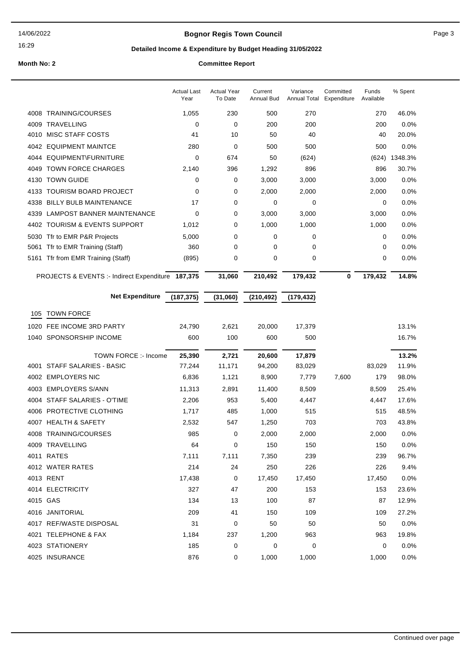## **Bognor Regis Town Council** Page 3

16:29

# **Detailed Income & Expenditure by Budget Heading 31/05/2022**

|      |                                                   | <b>Actual Last</b><br>Year | <b>Actual Year</b><br>To Date | Current<br>Annual Bud | Variance<br>Annual Total | Committed<br>Expenditure | Funds<br>Available | % Spent       |
|------|---------------------------------------------------|----------------------------|-------------------------------|-----------------------|--------------------------|--------------------------|--------------------|---------------|
|      | 4008 TRAINING/COURSES                             | 1,055                      | 230                           | 500                   | 270                      |                          | 270                | 46.0%         |
| 4009 | TRAVELLING                                        | 0                          | $\mathbf 0$                   | 200                   | 200                      |                          | 200                | 0.0%          |
|      | 4010 MISC STAFF COSTS                             | 41                         | 10                            | 50                    | 40                       |                          | 40                 | 20.0%         |
| 4042 | <b>EQUIPMENT MAINTCE</b>                          | 280                        | 0                             | 500                   | 500                      |                          | 500                | 0.0%          |
| 4044 | EQUIPMENT\FURNITURE                               | $\mathbf 0$                | 674                           | 50                    | (624)                    |                          |                    | (624) 1348.3% |
| 4049 | <b>TOWN FORCE CHARGES</b>                         | 2,140                      | 396                           | 1,292                 | 896                      |                          | 896                | 30.7%         |
| 4130 | <b>TOWN GUIDE</b>                                 | 0                          | 0                             | 3,000                 | 3,000                    |                          | 3,000              | 0.0%          |
| 4133 | <b>TOURISM BOARD PROJECT</b>                      | 0                          | 0                             | 2,000                 | 2,000                    |                          | 2,000              | 0.0%          |
| 4338 | <b>BILLY BULB MAINTENANCE</b>                     | 17                         | 0                             | 0                     | 0                        |                          | 0                  | 0.0%          |
| 4339 | <b>LAMPOST BANNER MAINTENANCE</b>                 | 0                          | 0                             | 3,000                 | 3,000                    |                          | 3,000              | 0.0%          |
|      | 4402 TOURISM & EVENTS SUPPORT                     | 1,012                      | 0                             | 1,000                 | 1,000                    |                          | 1,000              | 0.0%          |
| 5030 | Tfr to EMR P&R Projects                           | 5,000                      | 0                             | 0                     | 0                        |                          | 0                  | 0.0%          |
| 5061 | Tfr to EMR Training (Staff)                       | 360                        | $\mathbf 0$                   | 0                     | 0                        |                          | 0                  | 0.0%          |
| 5161 | Tfr from EMR Training (Staff)                     | (895)                      | 0                             | 0                     | 0                        |                          | 0                  | 0.0%          |
|      | PROJECTS & EVENTS :- Indirect Expenditure 187,375 |                            | 31,060                        | 210,492               | 179,432                  | 0                        | 179,432            | 14.8%         |
|      | <b>Net Expenditure</b>                            | (187, 375)                 | (31,060)                      | (210, 492)            | (179, 432)               |                          |                    |               |
| 105  | <b>TOWN FORCE</b>                                 |                            |                               |                       |                          |                          |                    |               |
| 1020 | FEE INCOME 3RD PARTY                              | 24,790                     | 2,621                         | 20,000                | 17,379                   |                          |                    | 13.1%         |
|      | 1040 SPONSORSHIP INCOME                           | 600                        | 100                           | 600                   | 500                      |                          |                    | 16.7%         |
|      |                                                   |                            |                               |                       |                          |                          |                    |               |
|      | TOWN FORCE :- Income                              | 25,390                     | 2,721                         | 20,600                | 17,879                   |                          |                    | 13.2%         |
| 4001 | STAFF SALARIES - BASIC                            | 77,244                     | 11,171                        | 94,200                | 83,029                   |                          | 83,029             | 11.9%         |
|      | 4002 EMPLOYERS NIC                                | 6,836                      | 1,121                         | 8,900                 | 7,779                    | 7,600                    | 179                | 98.0%         |
| 4003 | <b>EMPLOYERS S/ANN</b>                            | 11,313                     | 2,891                         | 11,400                | 8,509                    |                          | 8,509              | 25.4%         |
|      | 4004 STAFF SALARIES - O'TIME                      | 2,206                      | 953                           | 5,400                 | 4,447                    |                          | 4,447              | 17.6%         |
|      | 4006 PROTECTIVE CLOTHING                          | 1,717                      | 485                           | 1,000                 | 515                      |                          | 515                | 48.5%         |
| 4007 | <b>HEALTH &amp; SAFETY</b>                        | 2,532                      | 547                           | 1,250                 | 703                      |                          | 703                | 43.8%         |
|      | 4008 TRAINING/COURSES                             | 985                        | 0                             | 2,000                 | 2,000                    |                          | 2,000              | 0.0%          |
|      | 4009 TRAVELLING                                   | 64                         | 0                             | 150                   | 150                      |                          | 150                | 0.0%          |
|      | 4011 RATES                                        | 7,111                      | 7,111                         | 7,350                 | 239                      |                          | 239                | 96.7%         |
|      | 4012 WATER RATES                                  | 214                        | 24                            | 250                   | 226                      |                          | 226                | 9.4%          |
|      | 4013 RENT                                         | 17,438                     | 0                             | 17,450                | 17,450                   |                          | 17,450             | 0.0%          |
|      | 4014 ELECTRICITY                                  | 327                        | 47                            | 200                   | 153                      |                          | 153                | 23.6%         |
|      | 4015 GAS                                          | 134                        | 13                            | 100                   | 87                       |                          | 87                 | 12.9%         |
|      | 4016 JANITORIAL                                   | 209                        | 41                            | 150                   | 109                      |                          | 109                | 27.2%         |
|      | 4017 REF/WASTE DISPOSAL                           | 31                         | 0                             | 50                    | 50                       |                          | 50                 | 0.0%          |
|      | 4021 TELEPHONE & FAX                              | 1,184                      | 237                           | 1,200                 | 963                      |                          | 963                | 19.8%         |
|      | 4023 STATIONERY                                   | 185                        | 0                             | 0                     | 0                        |                          | 0                  | 0.0%          |
|      | 4025 INSURANCE                                    | 876                        | 0                             | 1,000                 | 1,000                    |                          | 1,000              | 0.0%          |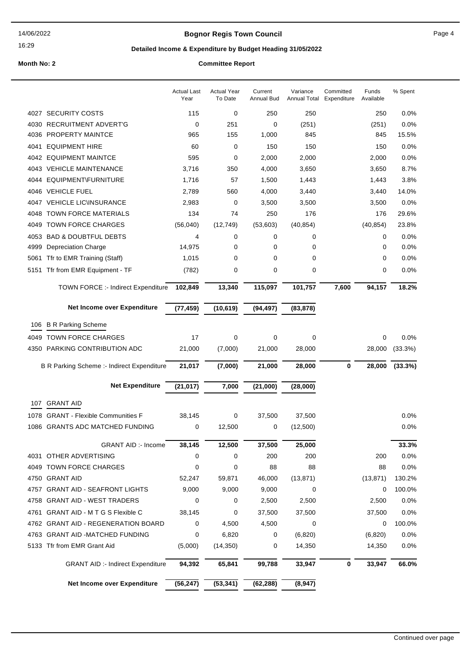## **Bognor Regis Town Council Connect Connect Page 4**

16:29

## **Detailed Income & Expenditure by Budget Heading 31/05/2022**

|      |                                            | <b>Actual Last</b><br>Year | <b>Actual Year</b><br>To Date | Current<br><b>Annual Bud</b> | Variance<br>Annual Total | Committed<br>Expenditure | Funds<br>Available | % Spent |
|------|--------------------------------------------|----------------------------|-------------------------------|------------------------------|--------------------------|--------------------------|--------------------|---------|
|      | 4027 SECURITY COSTS                        | 115                        | 0                             | 250                          | 250                      |                          | 250                | 0.0%    |
| 4030 | <b>RECRUITMENT ADVERT'G</b>                | 0                          | 251                           | 0                            | (251)                    |                          | (251)              | 0.0%    |
| 4036 | <b>PROPERTY MAINTCE</b>                    | 965                        | 155                           | 1,000                        | 845                      |                          | 845                | 15.5%   |
| 4041 | <b>EQUIPMENT HIRE</b>                      | 60                         | 0                             | 150                          | 150                      |                          | 150                | 0.0%    |
|      | 4042 EQUIPMENT MAINTCE                     | 595                        | 0                             | 2,000                        | 2,000                    |                          | 2,000              | 0.0%    |
| 4043 | <b>VEHICLE MAINTENANCE</b>                 | 3,716                      | 350                           | 4,000                        | 3,650                    |                          | 3,650              | 8.7%    |
| 4044 | <b>EQUIPMENT\FURNITURE</b>                 | 1,716                      | 57                            | 1,500                        | 1,443                    |                          | 1,443              | 3.8%    |
| 4046 | <b>VEHICLE FUEL</b>                        | 2,789                      | 560                           | 4,000                        | 3,440                    |                          | 3,440              | 14.0%   |
|      | 4047 VEHICLE LIC\INSURANCE                 | 2,983                      | 0                             | 3,500                        | 3,500                    |                          | 3,500              | 0.0%    |
| 4048 | <b>TOWN FORCE MATERIALS</b>                | 134                        | 74                            | 250                          | 176                      |                          | 176                | 29.6%   |
| 4049 | <b>TOWN FORCE CHARGES</b>                  | (56,040)                   | (12, 749)                     | (53,603)                     | (40, 854)                |                          | (40, 854)          | 23.8%   |
| 4053 | <b>BAD &amp; DOUBTFUL DEBTS</b>            | 4                          | 0                             | 0                            | 0                        |                          | 0                  | 0.0%    |
| 4999 | <b>Depreciation Charge</b>                 | 14,975                     | 0                             | 0                            | 0                        |                          | 0                  | 0.0%    |
| 5061 | Tfr to EMR Training (Staff)                | 1,015                      | 0                             | 0                            | 0                        |                          | 0                  | 0.0%    |
| 5151 | Tfr from EMR Equipment - TF                | (782)                      | 0                             | 0                            | 0                        |                          | 0                  | 0.0%    |
|      | <b>TOWN FORCE :- Indirect Expenditure</b>  | 102,849                    | 13,340                        | 115,097                      | 101,757                  | 7,600                    | 94,157             | 18.2%   |
|      | Net Income over Expenditure                | (77, 459)                  | (10, 619)                     | (94, 497)                    | (83, 878)                |                          |                    |         |
| 106  | <b>B R Parking Scheme</b>                  |                            |                               |                              |                          |                          |                    |         |
| 4049 | <b>TOWN FORCE CHARGES</b>                  | 17                         | 0                             | 0                            | 0                        |                          | 0                  | 0.0%    |
|      | 4350 PARKING CONTRIBUTION ADC              | 21,000                     | (7,000)                       | 21,000                       | 28,000                   |                          | 28,000             | (33.3%) |
|      | B R Parking Scheme :- Indirect Expenditure | 21,017                     | (7,000)                       | 21,000                       | 28,000                   | 0                        | 28,000             | (33.3%) |
|      | <b>Net Expenditure</b>                     | (21, 017)                  | 7,000                         | (21,000)                     | (28,000)                 |                          |                    |         |
| 107  | <b>GRANT AID</b>                           |                            |                               |                              |                          |                          |                    |         |
| 1078 | <b>GRANT - Flexible Communities F</b>      | 38,145                     | 0                             | 37,500                       | 37,500                   |                          |                    | 0.0%    |
| 1086 | <b>GRANTS ADC MATCHED FUNDING</b>          | 0                          | 12,500                        | 0                            | (12,500)                 |                          |                    | 0.0%    |
|      |                                            |                            |                               |                              |                          |                          |                    |         |
|      | <b>GRANT AID :- Income</b>                 | 38,145                     | 12,500                        | 37,500                       | 25,000                   |                          |                    | 33.3%   |
|      | 4031 OTHER ADVERTISING                     | 0                          | 0                             | 200                          | 200                      |                          | 200                | 0.0%    |
|      | 4049 TOWN FORCE CHARGES                    | 0                          | 0                             | 88                           | 88                       |                          | 88                 | 0.0%    |
|      | 4750 GRANT AID                             | 52,247                     | 59,871                        | 46,000                       | (13, 871)                |                          | (13, 871)          | 130.2%  |
|      | 4757 GRANT AID - SEAFRONT LIGHTS           | 9,000                      | 9,000                         | 9,000                        | 0                        |                          | 0                  | 100.0%  |
|      | 4758 GRANT AID - WEST TRADERS              | 0                          | 0                             | 2,500                        | 2,500                    |                          | 2,500              | 0.0%    |
| 4761 | <b>GRANT AID - M T G S Flexible C</b>      | 38,145                     | 0                             | 37,500                       | 37,500                   |                          | 37,500             | 0.0%    |
|      | 4762 GRANT AID - REGENERATION BOARD        | 0                          | 4,500                         | 4,500                        | 0                        |                          | 0                  | 100.0%  |
|      | 4763 GRANT AID -MATCHED FUNDING            | 0                          | 6,820                         | 0                            | (6, 820)                 |                          | (6, 820)           | 0.0%    |
|      | 5133 Tfr from EMR Grant Aid                | (5,000)                    | (14, 350)                     | 0                            | 14,350                   |                          | 14,350             | 0.0%    |
|      | <b>GRANT AID :- Indirect Expenditure</b>   | 94,392                     | 65,841                        | 99,788                       | 33,947                   | 0                        | 33,947             | 66.0%   |
|      | Net Income over Expenditure                | (56, 247)                  | (53, 341)                     | (62, 288)                    | (8,947)                  |                          |                    |         |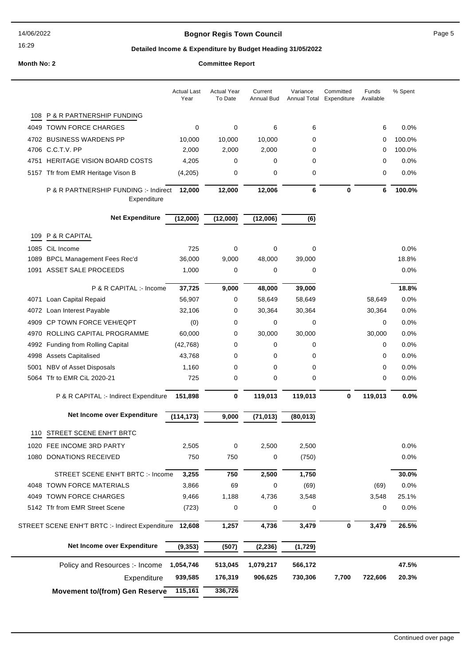## **Bognor Regis Town Council Connect Connect Page 5**

## **Detailed Income & Expenditure by Budget Heading 31/05/2022**

|      |                                                        | <b>Actual Last</b><br>Year | <b>Actual Year</b><br>To Date | Current<br>Annual Bud | Variance<br>Annual Total | Committed<br>Expenditure | Funds<br>Available | % Spent |
|------|--------------------------------------------------------|----------------------------|-------------------------------|-----------------------|--------------------------|--------------------------|--------------------|---------|
| 108  | <b>P &amp; R PARTNERSHIP FUNDING</b>                   |                            |                               |                       |                          |                          |                    |         |
|      | 4049 TOWN FORCE CHARGES                                | 0                          | 0                             | 6                     | 6                        |                          | 6                  | 0.0%    |
|      | 4702 BUSINESS WARDENS PP                               | 10,000                     | 10,000                        | 10,000                | 0                        |                          | 0                  | 100.0%  |
|      | 4706 C.C.T.V. PP                                       | 2,000                      | 2,000                         | 2,000                 | 0                        |                          | 0                  | 100.0%  |
|      | 4751 HERITAGE VISION BOARD COSTS                       | 4,205                      | 0                             | 0                     | 0                        |                          | 0                  | 0.0%    |
|      | 5157 Tfr from EMR Heritage Vison B                     | (4,205)                    | 0                             | 0                     | 0                        |                          | 0                  | 0.0%    |
|      | P & R PARTNERSHIP FUNDING :- Indirect<br>Expenditure   | 12,000                     | 12,000                        | 12,006                | 6                        | 0                        | 6                  | 100.0%  |
|      | <b>Net Expenditure</b>                                 | (12,000)                   | (12,000)                      | (12,006)              | (6)                      |                          |                    |         |
|      | 109 P & R CAPITAL                                      |                            |                               |                       |                          |                          |                    |         |
| 1085 | CiL Income                                             | 725                        | 0                             | 0                     | 0                        |                          |                    | 0.0%    |
|      | 1089 BPCL Management Fees Rec'd                        | 36,000                     | 9,000                         | 48,000                | 39,000                   |                          |                    | 18.8%   |
|      | 1091 ASSET SALE PROCEEDS                               | 1,000                      | 0                             | 0                     | 0                        |                          |                    | 0.0%    |
|      | P & R CAPITAL :- Income                                | 37,725                     | 9,000                         | 48,000                | 39,000                   |                          |                    | 18.8%   |
| 4071 | Loan Capital Repaid                                    | 56,907                     | 0                             | 58,649                | 58,649                   |                          | 58,649             | 0.0%    |
|      | 4072 Loan Interest Payable                             | 32,106                     | 0                             | 30,364                | 30,364                   |                          | 30,364             | 0.0%    |
| 4909 | CP TOWN FORCE VEH/EQPT                                 | (0)                        | 0                             | 0                     | 0                        |                          | 0                  | 0.0%    |
| 4970 | ROLLING CAPITAL PROGRAMME                              | 60,000                     | 0                             | 30,000                | 30,000                   |                          | 30,000             | 0.0%    |
| 4992 | <b>Funding from Rolling Capital</b>                    | (42, 768)                  | 0                             | 0                     | 0                        |                          | 0                  | 0.0%    |
|      | 4998 Assets Capitalised                                | 43,768                     | 0                             | 0                     | 0                        |                          | 0                  | 0.0%    |
| 5001 | NBV of Asset Disposals                                 | 1,160                      | 0                             | 0                     | 0                        |                          | 0                  | $0.0\%$ |
|      | 5064 Tfr to EMR CiL 2020-21                            | 725                        | 0                             | 0                     | 0                        |                          | 0                  | 0.0%    |
|      | P & R CAPITAL :- Indirect Expenditure                  | 151,898                    | 0                             | 119,013               | 119,013                  | 0                        | 119,013            | 0.0%    |
|      | Net Income over Expenditure                            | (114, 173)                 | 9,000                         | (71, 013)             | (80, 013)                |                          |                    |         |
| 110  | STREET SCENE ENH'T BRTC                                |                            |                               |                       |                          |                          |                    |         |
|      | 1020 FEE INCOME 3RD PARTY                              | 2,505                      | 0                             | 2,500                 | 2,500                    |                          |                    | 0.0%    |
|      | 1080 DONATIONS RECEIVED                                | 750                        | 750                           | 0                     | (750)                    |                          |                    | 0.0%    |
|      | STREET SCENE ENH'T BRTC :- Income                      | 3,255                      | 750                           | 2,500                 | 1,750                    |                          |                    | 30.0%   |
|      | 4048 TOWN FORCE MATERIALS                              | 3,866                      | 69                            | 0                     | (69)                     |                          | (69)               | 0.0%    |
|      | 4049 TOWN FORCE CHARGES                                | 9,466                      | 1,188                         | 4,736                 | 3,548                    |                          | 3,548              | 25.1%   |
|      | 5142 Tfr from EMR Street Scene                         | (723)                      | 0                             | 0                     | 0                        |                          | 0                  | 0.0%    |
|      | STREET SCENE ENH'T BRTC :- Indirect Expenditure 12,608 |                            | 1,257                         | 4,736                 | 3,479                    | $\bf{0}$                 | 3,479              | 26.5%   |
|      | Net Income over Expenditure                            | (9, 353)                   | (507)                         | (2, 236)              | (1,729)                  |                          |                    |         |
|      | Policy and Resources :- Income                         | 1,054,746                  | 513,045                       | 1,079,217             | 566,172                  |                          |                    | 47.5%   |
|      | Expenditure                                            | 939,585                    | 176,319                       | 906,625               | 730,306                  | 7,700                    | 722,606            | 20.3%   |
|      | <b>Movement to/(from) Gen Reserve</b>                  | 115,161                    | 336,726                       |                       |                          |                          |                    |         |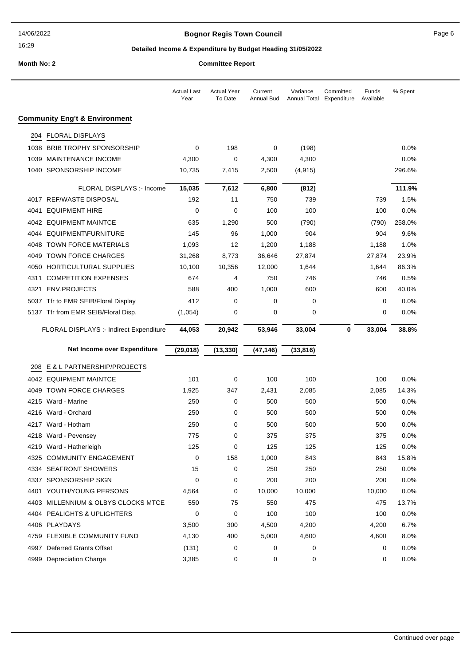## **Bognor Regis Town Council** Page 6

## **Detailed Income & Expenditure by Budget Heading 31/05/2022**

|      |                                          | Actual Last<br>Year | <b>Actual Year</b><br>To Date | Current<br>Annual Bud | Variance<br>Annual Total | Committed<br>Expenditure | Funds<br>Available | % Spent |
|------|------------------------------------------|---------------------|-------------------------------|-----------------------|--------------------------|--------------------------|--------------------|---------|
|      | <b>Community Eng't &amp; Environment</b> |                     |                               |                       |                          |                          |                    |         |
| 204  | <b>FLORAL DISPLAYS</b>                   |                     |                               |                       |                          |                          |                    |         |
| 1038 | <b>BRIB TROPHY SPONSORSHIP</b>           | 0                   | 198                           | 0                     | (198)                    |                          |                    | $0.0\%$ |
| 1039 | MAINTENANCE INCOME                       | 4,300               | 0                             | 4,300                 | 4,300                    |                          |                    | 0.0%    |
|      | 1040 SPONSORSHIP INCOME                  | 10,735              | 7,415                         | 2,500                 | (4, 915)                 |                          |                    | 296.6%  |
|      | FLORAL DISPLAYS :- Income                | 15,035              | 7,612                         | 6,800                 | (812)                    |                          |                    | 111.9%  |
|      | 4017 REF/WASTE DISPOSAL                  | 192                 | 11                            | 750                   | 739                      |                          | 739                | 1.5%    |
| 4041 | <b>EQUIPMENT HIRE</b>                    | 0                   | 0                             | 100                   | 100                      |                          | 100                | 0.0%    |
|      | 4042 EQUIPMENT MAINTCE                   | 635                 | 1,290                         | 500                   | (790)                    |                          | (790)              | 258.0%  |
| 4044 | EQUIPMENT\FURNITURE                      | 145                 | 96                            | 1,000                 | 904                      |                          | 904                | 9.6%    |
| 4048 | <b>TOWN FORCE MATERIALS</b>              | 1,093               | 12                            | 1,200                 | 1,188                    |                          | 1,188              | 1.0%    |
|      | 4049 TOWN FORCE CHARGES                  | 31,268              | 8,773                         | 36,646                | 27,874                   |                          | 27,874             | 23.9%   |
|      | 4050 HORTICULTURAL SUPPLIES              | 10,100              | 10,356                        | 12,000                | 1,644                    |                          | 1,644              | 86.3%   |
| 4311 | <b>COMPETITION EXPENSES</b>              | 674                 | 4                             | 750                   | 746                      |                          | 746                | 0.5%    |
| 4321 | <b>ENV.PROJECTS</b>                      | 588                 | 400                           | 1,000                 | 600                      |                          | 600                | 40.0%   |
|      | 5037 Tfr to EMR SEIB/Floral Display      | 412                 | 0                             | 0                     | 0                        |                          | 0                  | 0.0%    |
|      | 5137 Tfr from EMR SEIB/Floral Disp.      | (1,054)             | 0                             | 0                     | 0                        |                          | 0                  | $0.0\%$ |
|      | FLORAL DISPLAYS :- Indirect Expenditure  | 44,053              | 20,942                        | 53,946                | 33,004                   | 0                        | 33,004             | 38.8%   |
|      |                                          |                     |                               |                       |                          |                          |                    |         |
|      | Net Income over Expenditure              | (29, 018)           | (13, 330)                     | (47, 146)             | (33, 816)                |                          |                    |         |
| 208  | E & L PARTNERSHIP/PROJECTS               |                     |                               |                       |                          |                          |                    |         |
|      | 4042 EQUIPMENT MAINTCE                   | 101                 | 0                             | 100                   | 100                      |                          | 100                | 0.0%    |
|      | 4049 TOWN FORCE CHARGES                  | 1,925               | 347                           | 2,431                 | 2,085                    |                          | 2,085              | 14.3%   |
|      | 4215 Ward - Marine                       | 250                 | 0                             | 500                   | 500                      |                          | 500                | $0.0\%$ |
| 4216 | Ward - Orchard                           | 250                 | 0                             | 500                   | 500                      |                          | 500                | 0.0%    |
|      | 4217 Ward - Hotham                       | 250                 | 0                             | 500                   | 500                      |                          | 500                | 0.0%    |
|      | 4218 Ward - Pevensey                     | 775                 | 0                             | 375                   | 375                      |                          | 375                | 0.0%    |
|      | 4219 Ward - Hatherleigh                  | 125                 | 0                             | 125                   | 125                      |                          | 125                | 0.0%    |
|      | 4325 COMMUNITY ENGAGEMENT                | 0                   | 158                           | 1,000                 | 843                      |                          | 843                | 15.8%   |
|      | 4334 SEAFRONT SHOWERS                    | 15                  | 0                             | 250                   | 250                      |                          | 250                | 0.0%    |
|      | 4337 SPONSORSHIP SIGN                    | $\mathbf 0$         | 0                             | 200                   | 200                      |                          | 200                | 0.0%    |
|      | 4401 YOUTH/YOUNG PERSONS                 | 4,564               | 0                             | 10,000                | 10,000                   |                          | 10,000             | 0.0%    |
|      | 4403 MILLENNIUM & OLBYS CLOCKS MTCE      | 550                 | 75                            | 550                   | 475                      |                          | 475                | 13.7%   |
|      | 4404 PEALIGHTS & UPLIGHTERS              | 0                   | 0                             | 100                   | 100                      |                          | 100                | 0.0%    |
|      | 4406 PLAYDAYS                            | 3,500               | 300                           | 4,500                 | 4,200                    |                          | 4,200              | 6.7%    |
|      | 4759 FLEXIBLE COMMUNITY FUND             | 4,130               | 400                           | 5,000                 | 4,600                    |                          | 4,600              | 8.0%    |
|      | 4997 Deferred Grants Offset              | (131)               | 0                             | 0                     | 0                        |                          | 0                  | 0.0%    |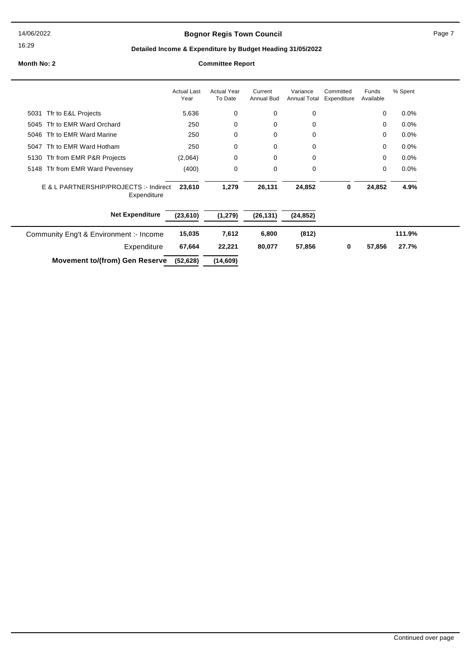14/06/2022

#### 16:29

## **Bognor Regis Town Council Connect Connect Page 7** Page 7

## **Detailed Income & Expenditure by Budget Heading 31/05/2022**

|                                                       | <b>Actual Last</b><br>Year | <b>Actual Year</b><br>To Date | Current<br>Annual Bud | Variance<br><b>Annual Total</b> | Committed<br>Expenditure | Funds<br>Available | % Spent |
|-------------------------------------------------------|----------------------------|-------------------------------|-----------------------|---------------------------------|--------------------------|--------------------|---------|
| Tfr to E&L Projects<br>5031                           | 5,636                      | 0                             | 0                     | 0                               |                          | 0                  | 0.0%    |
| Tfr to EMR Ward Orchard<br>5045                       | 250                        | 0                             | $\mathbf 0$           | 0                               |                          | 0                  | $0.0\%$ |
| 5046 Tfr to EMR Ward Marine                           | 250                        | 0                             | 0                     | 0                               |                          | 0                  | 0.0%    |
| Tfr to EMR Ward Hotham<br>5047                        | 250                        | 0                             | 0                     | 0                               |                          | 0                  | $0.0\%$ |
| 5130 Tfr from EMR P&R Projects                        | (2,064)                    | 0                             | $\mathbf 0$           | 0                               |                          | 0                  | 0.0%    |
| 5148 Tfr from EMR Ward Pevensey                       | (400)                      | 0                             | 0                     | 0                               |                          | 0                  | $0.0\%$ |
| E & L PARTNERSHIP/PROJECTS :- Indirect<br>Expenditure | 23,610                     | 1,279                         | 26,131                | 24,852                          | 0                        | 24,852             | 4.9%    |
| <b>Net Expenditure</b>                                | (23, 610)                  | (1, 279)                      | (26, 131)             | (24, 852)                       |                          |                    |         |
| Community Eng't & Environment :- Income               | 15,035                     | 7,612                         | 6,800                 | (812)                           |                          |                    | 111.9%  |
| Expenditure                                           | 67,664                     | 22,221                        | 80,077                | 57,856                          | 0                        | 57,856             | 27.7%   |
| <b>Movement to/(from) Gen Reserve</b>                 | (52, 628)                  | (14,609)                      |                       |                                 |                          |                    |         |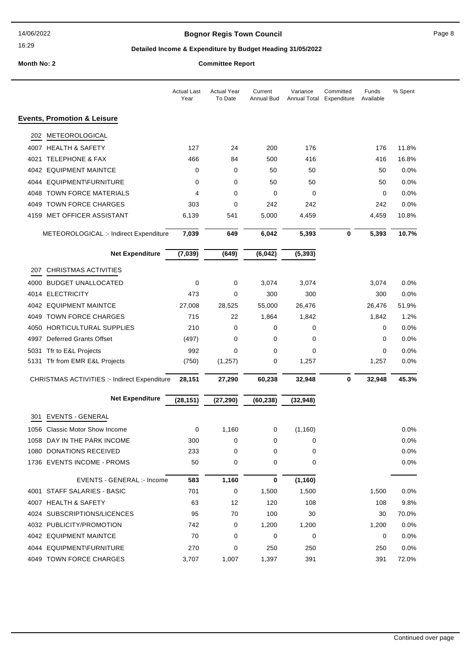## **Bognor Regis Town Council Connect Connect Page 8**

## **Detailed Income & Expenditure by Budget Heading 31/05/2022**

|      |                                              | <b>Actual Last</b><br>Year | <b>Actual Year</b><br>To Date | Current<br><b>Annual Bud</b> | Variance<br>Annual Total Expenditure | Committed | Funds<br>Available | % Spent |
|------|----------------------------------------------|----------------------------|-------------------------------|------------------------------|--------------------------------------|-----------|--------------------|---------|
|      | <b>Events, Promotion &amp; Leisure</b>       |                            |                               |                              |                                      |           |                    |         |
| 202  | METEOROLOGICAL                               |                            |                               |                              |                                      |           |                    |         |
|      | 4007 HEALTH & SAFETY                         | 127                        | 24                            | 200                          | 176                                  |           | 176                | 11.8%   |
| 4021 | <b>TELEPHONE &amp; FAX</b>                   | 466                        | 84                            | 500                          | 416                                  |           | 416                | 16.8%   |
|      | 4042 EQUIPMENT MAINTCE                       | 0                          | 0                             | 50                           | 50                                   |           | 50                 | 0.0%    |
|      | 4044 EQUIPMENT\FURNITURE                     | 0                          | 0                             | 50                           | 50                                   |           | 50                 | 0.0%    |
|      | 4048 TOWN FORCE MATERIALS                    | 4                          | 0                             | $\mathbf 0$                  | 0                                    |           | 0                  | 0.0%    |
|      | 4049 TOWN FORCE CHARGES                      | 303                        | 0                             | 242                          | 242                                  |           | 242                | 0.0%    |
|      | 4159 MET OFFICER ASSISTANT                   | 6,139                      | 541                           | 5,000                        | 4,459                                |           | 4,459              | 10.8%   |
|      | METEOROLOGICAL :- Indirect Expenditure       | 7,039                      | 649                           | 6,042                        | 5,393                                | 0         | 5,393              | 10.7%   |
|      | <b>Net Expenditure</b>                       | (7,039)                    | (649)                         | (6, 042)                     | (5, 393)                             |           |                    |         |
| 207  | <b>CHRISTMAS ACTIVITIES</b>                  |                            |                               |                              |                                      |           |                    |         |
| 4000 | <b>BUDGET UNALLOCATED</b>                    | $\mathbf 0$                | 0                             | 3,074                        | 3,074                                |           | 3,074              | 0.0%    |
|      | 4014 ELECTRICITY                             | 473                        | 0                             | 300                          | 300                                  |           | 300                | 0.0%    |
|      | 4042 EQUIPMENT MAINTCE                       | 27,008                     | 28,525                        | 55,000                       | 26,476                               |           | 26,476             | 51.9%   |
|      | 4049 TOWN FORCE CHARGES                      | 715                        | 22                            | 1,864                        | 1,842                                |           | 1,842              | 1.2%    |
| 4050 | HORTICULTURAL SUPPLIES                       | 210                        | $\mathbf 0$                   | 0                            | 0                                    |           | 0                  | 0.0%    |
|      | 4997 Deferred Grants Offset                  | (497)                      | 0                             | 0                            | 0                                    |           | 0                  | 0.0%    |
|      | 5031 Tfr to E&L Projects                     | 992                        | 0                             | 0                            | 0                                    |           | 0                  | 0.0%    |
|      | 5131 Tfr from EMR E&L Projects               | (750)                      | (1, 257)                      | 0                            | 1,257                                |           | 1,257              | 0.0%    |
|      | CHRISTMAS ACTIVITIES :- Indirect Expenditure | 28,151                     | 27,290                        | 60,238                       | 32,948                               | 0         | 32,948             | 45.3%   |
|      | <b>Net Expenditure</b>                       | (28, 151)                  | (27, 290)                     | (60, 238)                    | (32, 948)                            |           |                    |         |
| 301. | <b>EVENTS - GENERAL</b>                      |                            |                               |                              |                                      |           |                    |         |
|      | 1056 Classic Motor Show Income               | 0                          | 1,160                         | 0                            | (1, 160)                             |           |                    | $0.0\%$ |
|      | 1058 DAY IN THE PARK INCOME                  | 300                        | 0                             | 0                            | $\mathbf 0$                          |           |                    | 0.0%    |
|      | 1080 DONATIONS RECEIVED                      | 233                        | 0                             | 0                            | 0                                    |           |                    | $0.0\%$ |
|      | 1736 EVENTS INCOME - PROMS                   | 50                         | 0                             | 0                            | 0                                    |           |                    | 0.0%    |
|      | EVENTS - GENERAL :- Income                   | 583                        | 1,160                         | 0                            | (1, 160)                             |           |                    |         |
|      | 4001 STAFF SALARIES - BASIC                  | 701                        | 0                             | 1,500                        | 1,500                                |           | 1,500              | $0.0\%$ |
|      | 4007 HEALTH & SAFETY                         | 63                         | 12                            | 120                          | 108                                  |           | 108                | 9.8%    |
|      | 4024 SUBSCRIPTIONS/LICENCES                  | 95                         | 70                            | 100                          | 30                                   |           | 30                 | 70.0%   |
|      | 4032 PUBLICITY/PROMOTION                     | 742                        | 0                             | 1,200                        | 1,200                                |           | 1,200              | 0.0%    |
|      | 4042 EQUIPMENT MAINTCE                       | 70                         | 0                             | 0                            | 0                                    |           | 0                  | $0.0\%$ |
|      | 4044 EQUIPMENT\FURNITURE                     | 270                        | 0                             | 250                          | 250                                  |           | 250                | 0.0%    |
|      | 4049 TOWN FORCE CHARGES                      | 3,707                      | 1,007                         | 1,397                        | 391                                  |           | 391                | 72.0%   |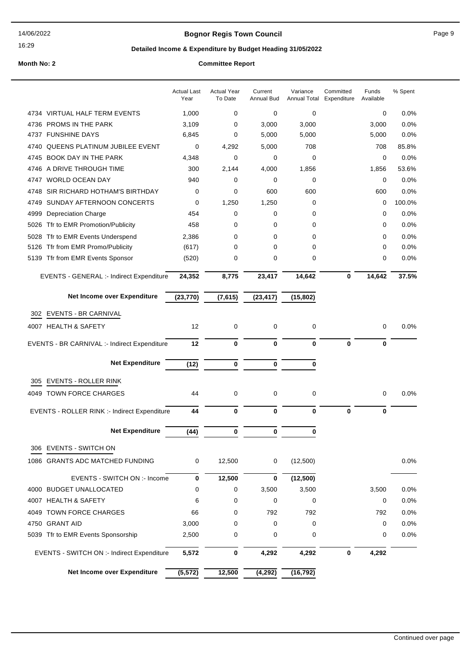## **Bognor Regis Town Council Connect Connect Page 9** Page 9

16:29

## **Detailed Income & Expenditure by Budget Heading 31/05/2022**

|                                              | <b>Actual Last</b><br>Year | <b>Actual Year</b><br>To Date | Current<br><b>Annual Bud</b> | Variance<br><b>Annual Total</b> | Committed<br>Expenditure | Funds<br>Available | % Spent |
|----------------------------------------------|----------------------------|-------------------------------|------------------------------|---------------------------------|--------------------------|--------------------|---------|
| 4734 VIRTUAL HALF TERM EVENTS                | 1,000                      | 0                             | 0                            | $\mathbf 0$                     |                          | 0                  | 0.0%    |
| 4736 PROMS IN THE PARK                       | 3,109                      | 0                             | 3,000                        | 3,000                           |                          | 3,000              | 0.0%    |
| 4737 FUNSHINE DAYS                           | 6,845                      | 0                             | 5,000                        | 5,000                           |                          | 5,000              | 0.0%    |
| <b>QUEENS PLATINUM JUBILEE EVENT</b><br>4740 | $\mathbf 0$                | 4,292                         | 5,000                        | 708                             |                          | 708                | 85.8%   |
| BOOK DAY IN THE PARK<br>4745                 | 4,348                      | 0                             | $\mathbf 0$                  | $\mathbf 0$                     |                          | 0                  | 0.0%    |
| A DRIVE THROUGH TIME<br>4746                 | 300                        | 2,144                         | 4,000                        | 1,856                           |                          | 1,856              | 53.6%   |
| <b>WORLD OCEAN DAY</b><br>4747               | 940                        | 0                             | 0                            | 0                               |                          | 0                  | 0.0%    |
| SIR RICHARD HOTHAM'S BIRTHDAY<br>4748        | 0                          | 0                             | 600                          | 600                             |                          | 600                | 0.0%    |
| SUNDAY AFTERNOON CONCERTS<br>4749            | 0                          | 1,250                         | 1,250                        | 0                               |                          | 0                  | 100.0%  |
| <b>Depreciation Charge</b><br>4999           | 454                        | 0                             | 0                            | 0                               |                          | 0                  | 0.0%    |
| Tfr to EMR Promotion/Publicity<br>5026       | 458                        | 0                             | 0                            | 0                               |                          | 0                  | 0.0%    |
| Tfr to EMR Events Underspend<br>5028         | 2,386                      | 0                             | 0                            | 0                               |                          | 0                  | 0.0%    |
| Tfr from EMR Promo/Publicity<br>5126         | (617)                      | 0                             | 0                            | 0                               |                          | 0                  | 0.0%    |
| Tfr from EMR Events Sponsor<br>5139          | (520)                      | 0                             | 0                            | $\mathbf 0$                     |                          | 0                  | 0.0%    |
| EVENTS - GENERAL :- Indirect Expenditure     | 24,352                     | 8,775                         | 23,417                       | 14,642                          | $\mathbf 0$              | 14,642             | 37.5%   |
| Net Income over Expenditure                  | (23, 770)                  | (7,615)                       | (23, 417)                    | (15, 802)                       |                          |                    |         |
| <b>EVENTS - BR CARNIVAL</b><br>302           |                            |                               |                              |                                 |                          |                    |         |
| 4007 HEALTH & SAFETY                         | 12                         | 0                             | $\mathbf 0$                  | 0                               |                          | 0                  | $0.0\%$ |
|                                              |                            |                               |                              |                                 |                          |                    |         |
| EVENTS - BR CARNIVAL :- Indirect Expenditure | 12                         | $\bf{0}$                      | $\mathbf 0$                  | $\bf{0}$                        | $\mathbf 0$              | $\bf{0}$           |         |
| <b>Net Expenditure</b>                       | (12)                       | $\bf{0}$                      | 0                            | 0                               |                          |                    |         |
| <b>EVENTS - ROLLER RINK</b><br>305           |                            |                               |                              |                                 |                          |                    |         |
| 4049 TOWN FORCE CHARGES                      | 44                         | 0                             | 0                            | 0                               |                          | 0                  | 0.0%    |
| EVENTS - ROLLER RINK :- Indirect Expenditure | 44                         | $\bf{0}$                      | $\mathbf 0$                  | $\bf{0}$                        | $\bf{0}$                 | $\bf{0}$           |         |
| <b>Net Expenditure</b>                       | (44)                       | 0                             | 0                            | 0                               |                          |                    |         |
|                                              |                            |                               |                              |                                 |                          |                    |         |
| 306 EVENTS - SWITCH ON                       |                            |                               |                              |                                 |                          |                    |         |
| 1086 GRANTS ADC MATCHED FUNDING              | 0                          | 12,500                        | 0                            | (12,500)                        |                          |                    | 0.0%    |
| EVENTS - SWITCH ON :- Income                 | $\bf{0}$                   | 12,500                        | 0                            | (12, 500)                       |                          |                    |         |
| 4000 BUDGET UNALLOCATED                      | 0                          | 0                             | 3,500                        | 3,500                           |                          | 3,500              | 0.0%    |
| 4007 HEALTH & SAFETY                         | 6                          | 0                             | 0                            | 0                               |                          | 0                  | 0.0%    |
| 4049 TOWN FORCE CHARGES                      | 66                         | 0                             | 792                          | 792                             |                          | 792                | 0.0%    |
| 4750 GRANT AID                               | 3,000                      | 0                             | 0                            | 0                               |                          | 0                  | 0.0%    |
| 5039 Tfr to EMR Events Sponsorship           | 2,500                      | 0                             | 0                            | 0                               |                          | 0                  | 0.0%    |
| EVENTS - SWITCH ON :- Indirect Expenditure   | 5,572                      | 0                             | 4,292                        | 4,292                           | 0                        | 4,292              |         |
| Net Income over Expenditure                  | (5, 572)                   | 12,500                        | (4, 292)                     | (16, 792)                       |                          |                    |         |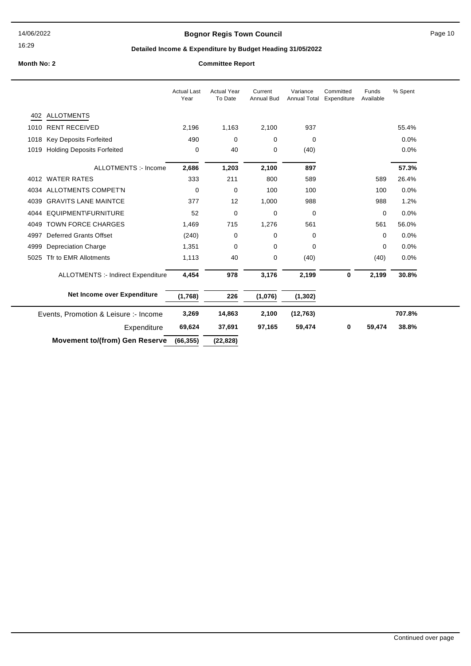## **Bognor Regis Town Council** Page 10

## **Detailed Income & Expenditure by Budget Heading 31/05/2022**

|      |                                           | <b>Actual Last</b><br>Year | <b>Actual Year</b><br>To Date | Current<br><b>Annual Bud</b> | Variance<br><b>Annual Total</b> | Committed<br>Expenditure | Funds<br>Available | % Spent |
|------|-------------------------------------------|----------------------------|-------------------------------|------------------------------|---------------------------------|--------------------------|--------------------|---------|
|      | 402 ALLOTMENTS                            |                            |                               |                              |                                 |                          |                    |         |
|      | 1010 RENT RECEIVED                        | 2,196                      | 1,163                         | 2,100                        | 937                             |                          |                    | 55.4%   |
|      | 1018 Key Deposits Forfeited               | 490                        | 0                             | 0                            | $\mathbf 0$                     |                          |                    | 0.0%    |
| 1019 | <b>Holding Deposits Forfeited</b>         | 0                          | 40                            | 0                            | (40)                            |                          |                    | 0.0%    |
|      | ALLOTMENTS :- Income                      | 2,686                      | 1,203                         | 2,100                        | 897                             |                          |                    | 57.3%   |
|      | 4012 WATER RATES                          | 333                        | 211                           | 800                          | 589                             |                          | 589                | 26.4%   |
|      | 4034 ALLOTMENTS COMPET'N                  | $\mathbf 0$                | 0                             | 100                          | 100                             |                          | 100                | 0.0%    |
| 4039 | <b>GRAVITS LANE MAINTCE</b>               | 377                        | 12                            | 1,000                        | 988                             |                          | 988                | 1.2%    |
|      | 4044 EQUIPMENT\FURNITURE                  | 52                         | 0                             | 0                            | $\mathbf 0$                     |                          | 0                  | 0.0%    |
| 4049 | <b>TOWN FORCE CHARGES</b>                 | 1,469                      | 715                           | 1,276                        | 561                             |                          | 561                | 56.0%   |
| 4997 | <b>Deferred Grants Offset</b>             | (240)                      | 0                             | 0                            | 0                               |                          | 0                  | 0.0%    |
| 4999 | <b>Depreciation Charge</b>                | 1,351                      | 0                             | 0                            | $\mathbf 0$                     |                          | 0                  | 0.0%    |
| 5025 | Tfr to EMR Allotments                     | 1,113                      | 40                            | 0                            | (40)                            |                          | (40)               | 0.0%    |
|      | <b>ALLOTMENTS :- Indirect Expenditure</b> | 4,454                      | 978                           | 3,176                        | 2,199                           | 0                        | 2,199              | 30.8%   |
|      | Net Income over Expenditure               | (1,768)                    | 226                           | (1,076)                      | (1, 302)                        |                          |                    |         |
|      | Events, Promotion & Leisure :- Income     | 3,269                      | 14,863                        | 2,100                        | (12, 763)                       |                          |                    | 707.8%  |
|      | Expenditure                               | 69,624                     | 37,691                        | 97,165                       | 59,474                          | 0                        | 59,474             | 38.8%   |
|      | <b>Movement to/(from) Gen Reserve</b>     | (66, 355)                  | (22, 828)                     |                              |                                 |                          |                    |         |